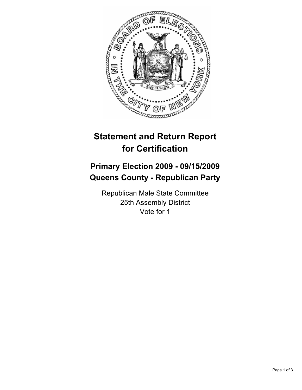

## **Statement and Return Report for Certification**

## **Primary Election 2009 - 09/15/2009 Queens County - Republican Party**

Republican Male State Committee 25th Assembly District Vote for 1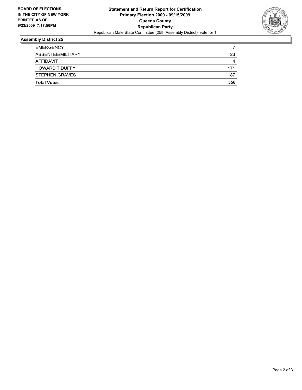

## **Assembly District 25**

| <b>STEPHEN GRAVES</b>              | 187      |
|------------------------------------|----------|
| AFFIDAVIT<br><b>HOWARD T DUFFY</b> | 4<br>171 |
| ABSENTEE/MILITARY                  | 23       |
| <b>EMERGENCY</b>                   |          |